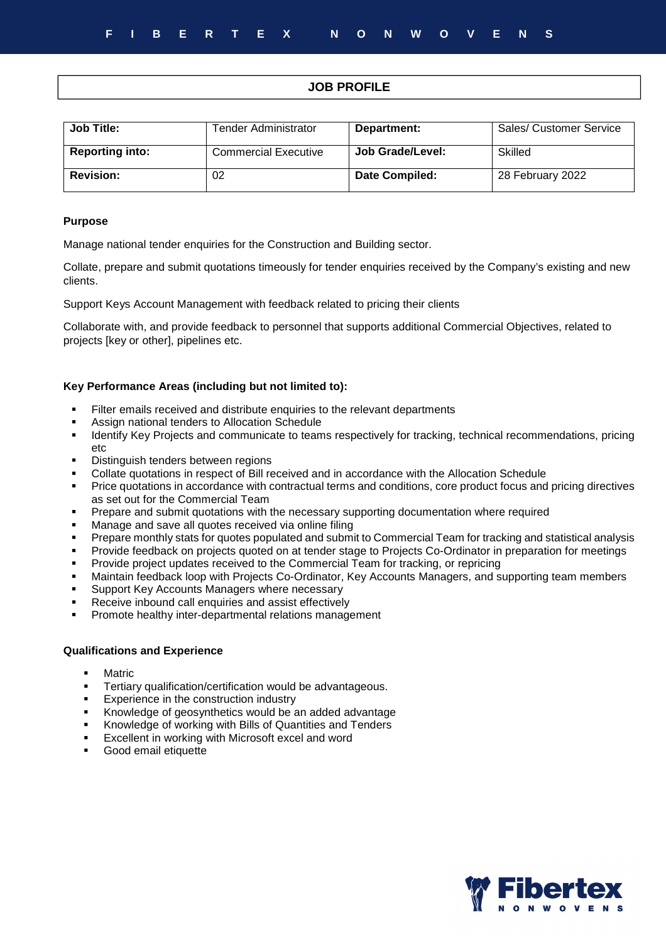# **JOB PROFILE**

| <b>Job Title:</b>      | Tender Administrator        | Department:      | Sales/ Customer Service |
|------------------------|-----------------------------|------------------|-------------------------|
| <b>Reporting into:</b> | <b>Commercial Executive</b> | Job Grade/Level: | Skilled                 |
| <b>Revision:</b>       | 02                          | Date Compiled:   | 28 February 2022        |

#### **Purpose**

Manage national tender enquiries for the Construction and Building sector.

Collate, prepare and submit quotations timeously for tender enquiries received by the Company's existing and new clients.

Support Keys Account Management with feedback related to pricing their clients

Collaborate with, and provide feedback to personnel that supports additional Commercial Objectives, related to projects [key or other], pipelines etc.

### **Key Performance Areas (including but not limited to):**

- Filter emails received and distribute enquiries to the relevant departments
- **Assign national tenders to Allocation Schedule**<br> **Example:** Identify Key Projects and communicate to team
- Identify Key Projects and communicate to teams respectively for tracking, technical recommendations, pricing etc
- Distinguish tenders between regions
- Collate quotations in respect of Bill received and in accordance with the Allocation Schedule
- Price quotations in accordance with contractual terms and conditions, core product focus and pricing directives as set out for the Commercial Team
- Prepare and submit quotations with the necessary supporting documentation where required
- Manage and save all quotes received via online filing
- Prepare monthly stats for quotes populated and submit to Commercial Team for tracking and statistical analysis
- Provide feedback on projects quoted on at tender stage to Projects Co-Ordinator in preparation for meetings
- Provide project updates received to the Commercial Team for tracking, or repricing
- Maintain feedback loop with Projects Co-Ordinator, Key Accounts Managers, and supporting team members
- Support Key Accounts Managers where necessary
- Receive inbound call enquiries and assist effectively
- Promote healthy inter-departmental relations management

# **Qualifications and Experience**

- Matric
- **Tertiary qualification/certification would be advantageous.**
- **Experience in the construction industry**
- Knowledge of geosynthetics would be an added advantage
- Knowledge of working with Bills of Quantities and Tenders
- **Excellent in working with Microsoft excel and word**
- Good email etiquette